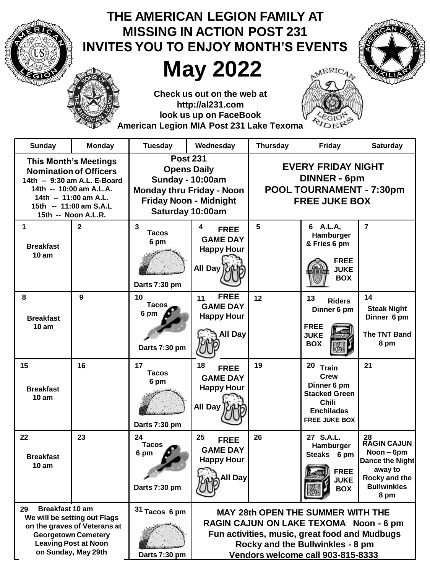| THE AMERICAN LEGION FAMILY AT<br><b>MISSING IN ACTION POST 231</b><br><b>INVITES YOU TO ENJOY MONTH'S EVENTS</b>                                                                                   |                |                                                                                                                                                           |                                                                                                                                                                                                              |                                                                                                      |                                                                                                                                    |                                                                                                                     |
|----------------------------------------------------------------------------------------------------------------------------------------------------------------------------------------------------|----------------|-----------------------------------------------------------------------------------------------------------------------------------------------------------|--------------------------------------------------------------------------------------------------------------------------------------------------------------------------------------------------------------|------------------------------------------------------------------------------------------------------|------------------------------------------------------------------------------------------------------------------------------------|---------------------------------------------------------------------------------------------------------------------|
|                                                                                                                                                                                                    |                |                                                                                                                                                           | <b>May 2022</b>                                                                                                                                                                                              |                                                                                                      | <b>AERICAN</b>                                                                                                                     |                                                                                                                     |
|                                                                                                                                                                                                    |                | American Legion MIA Post 231 Lake Texoma                                                                                                                  | Check us out on the web at<br>http://al231.com<br>look us up on FaceBook                                                                                                                                     |                                                                                                      |                                                                                                                                    |                                                                                                                     |
| <b>Sunday</b>                                                                                                                                                                                      | Monday         | <b>Tuesday</b>                                                                                                                                            | Wednesday                                                                                                                                                                                                    | <b>Thursday</b>                                                                                      | Friday                                                                                                                             | <b>Saturday</b>                                                                                                     |
| <b>This Month's Meetings</b><br><b>Nomination of Officers</b><br>14th -- 9:30 am A.L. E-Board<br>14th -- 10:00 am A.L.A.<br>14th -- 11:00 am A.L.<br>15th -- 11:00 am S.A.L<br>15th -- Noon A.L.R. |                | <b>Post 231</b><br><b>Opens Daily</b><br><b>Sunday - 10:00am</b><br><b>Monday thru Friday - Noon</b><br><b>Friday Noon - Midnight</b><br>Saturday 10:00am |                                                                                                                                                                                                              | <b>EVERY FRIDAY NIGHT</b><br><b>DINNER - 6pm</b><br>POOL TOURNAMENT - 7:30pm<br><b>FREE JUKE BOX</b> |                                                                                                                                    |                                                                                                                     |
| 1<br><b>Breakfast</b><br>10 am                                                                                                                                                                     | $\overline{2}$ | $\mathbf{3}$<br>Tacos<br>6 pm<br>Darts 7:30 pm                                                                                                            | 4<br><b>FREE</b><br><b>GAME DAY</b><br><b>Happy Hour</b><br>All Day                                                                                                                                          | 5                                                                                                    | 6 A.L.A,<br>Hamburger<br>& Fries 6 pm<br><b>FREE</b><br><b>JUKE</b><br><b>BOX</b>                                                  | $\overline{7}$                                                                                                      |
| 8<br><b>Breakfast</b><br>10 <sub>am</sub>                                                                                                                                                          | 9              | 10<br><b>Tacos</b><br>6 pm<br>Darts 7:30 pm                                                                                                               | <b>FREE</b><br>11<br><b>GAME DAY</b><br><b>Happy Hour</b><br>All Day                                                                                                                                         | 12                                                                                                   | 13<br><b>Riders</b><br>Dinner 6 pm<br><b>FREE</b><br><b>JUKE</b><br><b>BOX</b>                                                     | 14<br><b>Steak Night</b><br>Dinner 6 pm<br>The TNT Band<br>8 pm                                                     |
| 15<br><b>Breakfast</b><br>10 <sub>am</sub>                                                                                                                                                         | 16             | 17<br><b>Tacos</b><br>6 pm<br>Darts 7:30 pm                                                                                                               | <b>FREE</b><br><b>GAME DAY</b><br><b>Happy Hour</b><br>All Day                                                                                                                                               | 19                                                                                                   | $20 -$<br>Train<br><b>Crew</b><br>Dinner 6 pm<br><b>Stacked Green</b><br><b>Chili</b><br><b>Enchiladas</b><br><b>FREE JUKE BOX</b> | 21                                                                                                                  |
| 22<br><b>Breakfast</b><br>10 am                                                                                                                                                                    | 23             | 24<br><b>Tacos</b><br>6 pm<br>Darts 7:30 pm                                                                                                               | 25<br><b>FREE</b><br><b>GAME DAY</b><br><b>Happy Hour</b><br>All Day                                                                                                                                         | 26                                                                                                   | 27 S.A.L.<br>Hamburger<br>Steaks 6 pm<br><b>FREE</b><br><b>JUKE</b><br><b>BOX</b>                                                  | 28<br><b>RAGIN CAJUN</b><br>Noon - 6pm<br>Dance the Night<br>away to<br>Rocky and the<br><b>Bullwinkles</b><br>8 pm |
| <b>Breakfast 10 am</b><br>29<br>We will be setting out Flags<br>on the graves of Veterans at<br><b>Georgetown Cemetery</b><br><b>Leaving Post at Noon</b><br>on Sunday, May 29th                   |                | $31$ Tacos 6 pm<br>Darts 7:30 pm                                                                                                                          | <b>MAY 28th OPEN THE SUMMER WITH THE</b><br>RAGIN CAJUN ON LAKE TEXOMA Noon - 6 pm<br>Fun activities, music, great food and Mudbugs<br>Rocky and the Bullwinkles - 8 pm<br>Vendors welcome call 903-815-8333 |                                                                                                      |                                                                                                                                    |                                                                                                                     |